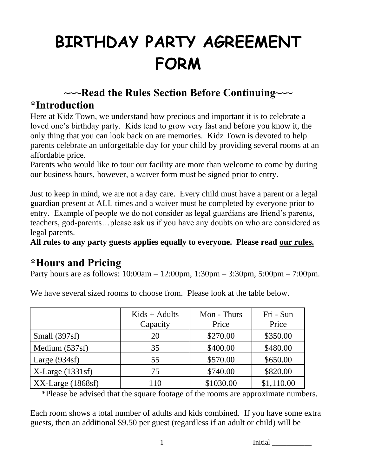# **BIRTHDAY PARTY AGREEMENT FORM**

## **~~~Read the Rules Section Before Continuing~~~**

#### **\*Introduction**

Here at Kidz Town, we understand how precious and important it is to celebrate a loved one's birthday party. Kids tend to grow very fast and before you know it, the only thing that you can look back on are memories. Kidz Town is devoted to help parents celebrate an unforgettable day for your child by providing several rooms at an affordable price.

Parents who would like to tour our facility are more than welcome to come by during our business hours, however, a waiver form must be signed prior to entry.

Just to keep in mind, we are not a day care. Every child must have a parent or a legal guardian present at ALL times and a waiver must be completed by everyone prior to entry. Example of people we do not consider as legal guardians are friend's parents, teachers, god-parents…please ask us if you have any doubts on who are considered as legal parents.

**All rules to any party guests applies equally to everyone. Please read our rules.**

## **\*Hours and Pricing**

Party hours are as follows: 10:00am – 12:00pm, 1:30pm – 3:30pm, 5:00pm – 7:00pm.

|                      | $Kids + Adults$<br>Capacity | Mon - Thurs<br>Price | Fri - Sun<br>Price |
|----------------------|-----------------------------|----------------------|--------------------|
| Small $(397sf)$      | 20                          | \$270.00             | \$350.00           |
| Medium (537sf)       | 35                          | \$400.00             | \$480.00           |
| Large $(934sf)$      | 55                          | \$570.00             | \$650.00           |
| $X-Large(1331sf)$    | 75                          | \$740.00             | \$820.00           |
| $XX$ -Large (1868sf) | 110                         | \$1030.00            | \$1,110.00         |

We have several sized rooms to choose from. Please look at the table below.

\*Please be advised that the square footage of the rooms are approximate numbers.

Each room shows a total number of adults and kids combined. If you have some extra guests, then an additional \$9.50 per guest (regardless if an adult or child) will be

1 Initial Lemma and Lemma and Lemma and Lemma and Lemma and Lemma and Lemma and Lemma and Lemma and Lemma and L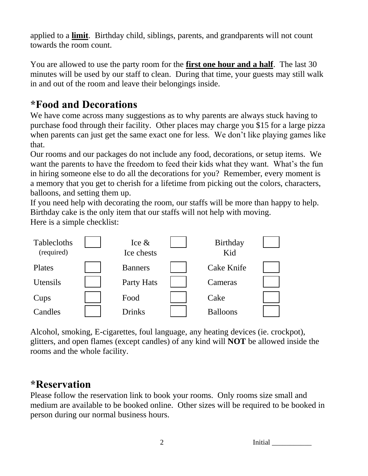applied to a **limit**. Birthday child, siblings, parents, and grandparents will not count towards the room count.

You are allowed to use the party room for the **first one hour and a half**. The last 30 minutes will be used by our staff to clean. During that time, your guests may still walk in and out of the room and leave their belongings inside.

#### **\*Food and Decorations**

We have come across many suggestions as to why parents are always stuck having to purchase food through their facility. Other places may charge you \$15 for a large pizza when parents can just get the same exact one for less. We don't like playing games like that.

Our rooms and our packages do not include any food, decorations, or setup items. We want the parents to have the freedom to feed their kids what they want. What's the fun in hiring someone else to do all the decorations for you? Remember, every moment is a memory that you get to cherish for a lifetime from picking out the colors, characters, balloons, and setting them up.

If you need help with decorating the room, our staffs will be more than happy to help. Birthday cake is the only item that our staffs will not help with moving.

Here is a simple checklist:



Alcohol, smoking, E-cigarettes, foul language, any heating devices (ie. crockpot), glitters, and open flames (except candles) of any kind will **NOT** be allowed inside the rooms and the whole facility.

#### **\*Reservation**

Please follow the reservation link to book your rooms. Only rooms size small and medium are available to be booked online. Other sizes will be required to be booked in person during our normal business hours.

| ⌒<br>∠ | Initial |  |
|--------|---------|--|
|        |         |  |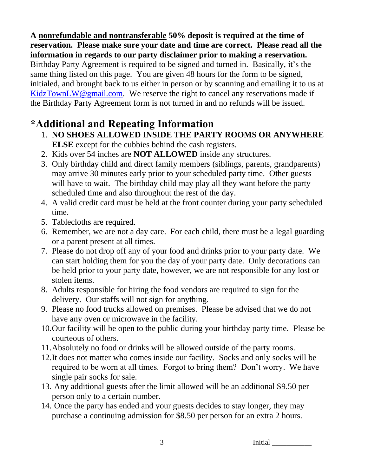**A nonrefundable and nontransferable 50% deposit is required at the time of reservation. Please make sure your date and time are correct. Please read all the information in regards to our party disclaimer prior to making a reservation.** Birthday Party Agreement is required to be signed and turned in. Basically, it's the same thing listed on this page. You are given 48 hours for the form to be signed, initialed, and brought back to us either in person or by scanning and emailing it to us at [KidzTownLW@gmail.com.](mailto:KidzTownLW@gmail.com) We reserve the right to cancel any reservations made if the Birthday Party Agreement form is not turned in and no refunds will be issued.

## **\*Additional and Repeating Information**

- 1. **NO SHOES ALLOWED INSIDE THE PARTY ROOMS OR ANYWHERE ELSE** except for the cubbies behind the cash registers.
- 2. Kids over 54 inches are **NOT ALLOWED** inside any structures.
- 3. Only birthday child and direct family members (siblings, parents, grandparents) may arrive 30 minutes early prior to your scheduled party time. Other guests will have to wait. The birthday child may play all they want before the party scheduled time and also throughout the rest of the day.
- 4. A valid credit card must be held at the front counter during your party scheduled time.
- 5. Tablecloths are required.
- 6. Remember, we are not a day care. For each child, there must be a legal guarding or a parent present at all times.
- 7. Please do not drop off any of your food and drinks prior to your party date. We can start holding them for you the day of your party date. Only decorations can be held prior to your party date, however, we are not responsible for any lost or stolen items.
- 8. Adults responsible for hiring the food vendors are required to sign for the delivery. Our staffs will not sign for anything.
- 9. Please no food trucks allowed on premises. Please be advised that we do not have any oven or microwave in the facility.
- 10.Our facility will be open to the public during your birthday party time. Please be courteous of others.
- 11.Absolutely no food or drinks will be allowed outside of the party rooms.
- 12.It does not matter who comes inside our facility. Socks and only socks will be required to be worn at all times. Forgot to bring them? Don't worry. We have single pair socks for sale.
- 13. Any additional guests after the limit allowed will be an additional \$9.50 per person only to a certain number.
- 14. Once the party has ended and your guests decides to stay longer, they may purchase a continuing admission for \$8.50 per person for an extra 2 hours.